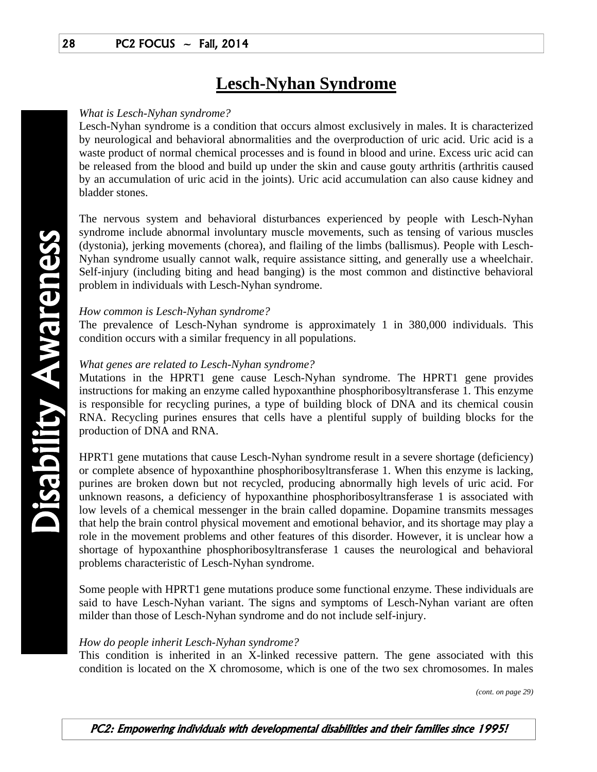# **Lesch-Nyhan Syndrome**

## *What is Lesch-Nyhan syndrome?*

Lesch-Nyhan syndrome is a condition that occurs almost exclusively in males. It is characterized by neurological and behavioral abnormalities and the overproduction of uric acid. Uric acid is a waste product of normal chemical processes and is found in blood and urine. Excess uric acid can be released from the blood and build up under the skin and cause gouty arthritis (arthritis caused by an accumulation of uric acid in the joints). Uric acid accumulation can also cause kidney and bladder stones.

The nervous system and behavioral disturbances experienced by people with Lesch-Nyhan syndrome include abnormal involuntary muscle movements, such as tensing of various muscles (dystonia), jerking movements (chorea), and flailing of the limbs (ballismus). People with Lesch-Nyhan syndrome usually cannot walk, require assistance sitting, and generally use a wheelchair. Self-injury (including biting and head banging) is the most common and distinctive behavioral problem in individuals with Lesch-Nyhan syndrome.

### *How common is Lesch-Nyhan syndrome?*

The prevalence of Lesch-Nyhan syndrome is approximately 1 in 380,000 individuals. This condition occurs with a similar frequency in all populations.

# *What genes are related to Lesch-Nyhan syndrome?*

Mutations in the HPRT1 gene cause Lesch-Nyhan syndrome. The HPRT1 gene provides instructions for making an enzyme called hypoxanthine phosphoribosyltransferase 1. This enzyme is responsible for recycling purines, a type of building block of DNA and its chemical cousin RNA. Recycling purines ensures that cells have a plentiful supply of building blocks for the production of DNA and RNA.

HPRT1 gene mutations that cause Lesch-Nyhan syndrome result in a severe shortage (deficiency) or complete absence of hypoxanthine phosphoribosyltransferase 1. When this enzyme is lacking, purines are broken down but not recycled, producing abnormally high levels of uric acid. For unknown reasons, a deficiency of hypoxanthine phosphoribosyltransferase 1 is associated with low levels of a chemical messenger in the brain called dopamine. Dopamine transmits messages that help the brain control physical movement and emotional behavior, and its shortage may play a role in the movement problems and other features of this disorder. However, it is unclear how a shortage of hypoxanthine phosphoribosyltransferase 1 causes the neurological and behavioral problems characteristic of Lesch-Nyhan syndrome.

Some people with HPRT1 gene mutations produce some functional enzyme. These individuals are said to have Lesch-Nyhan variant. The signs and symptoms of Lesch-Nyhan variant are often milder than those of Lesch-Nyhan syndrome and do not include self-injury.

### *How do people inherit Lesch-Nyhan syndrome?*

This condition is inherited in an X-linked recessive pattern. The gene associated with this condition is located on the X chromosome, which is one of the two sex chromosomes. In males

*(cont. on page 29)*